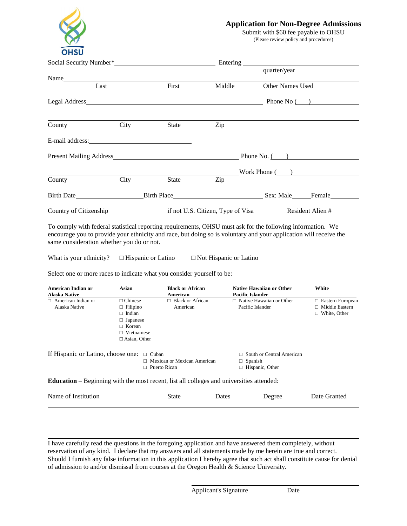

## **Application for Non-Degree Admissions**

Submit with \$60 fee payable to OHSU (Please review policy and procedures)

|                                                                                                                                                                                                                               |       | quarter/year |                                                |  |
|-------------------------------------------------------------------------------------------------------------------------------------------------------------------------------------------------------------------------------|-------|--------------|------------------------------------------------|--|
| Name and the same state of the state of the state of the state of the state of the state of the state of the state of the state of the state of the state of the state of the state of the state of the state of the state of |       |              |                                                |  |
| Last                                                                                                                                                                                                                          |       | Middle       | <b>Other Names Used</b>                        |  |
|                                                                                                                                                                                                                               |       |              |                                                |  |
|                                                                                                                                                                                                                               |       |              |                                                |  |
| City                                                                                                                                                                                                                          |       | Zip          |                                                |  |
|                                                                                                                                                                                                                               |       |              |                                                |  |
| Present Mailing Address Phone No. ()                                                                                                                                                                                          |       |              |                                                |  |
|                                                                                                                                                                                                                               |       |              | Work Phone ( )                                 |  |
| City                                                                                                                                                                                                                          | State | Zip          |                                                |  |
| Birth Date                                                                                                                                                                                                                    |       |              |                                                |  |
|                                                                                                                                                                                                                               |       |              |                                                |  |
|                                                                                                                                                                                                                               |       |              | First<br>State<br>Birth Place Sex: Male Female |  |

To comply with federal statistical reporting requirements, OHSU must ask for the following information. We encourage you to provide your ethnicity and race, but doing so is voluntary and your application will receive the same consideration whether you do or not.

What is your ethnicity?  $\Box$  Hispanic or Latino  $\Box$  Not Hispanic or Latino

Select one or more races to indicate what you consider yourself to be:

| American Indian or<br><b>Alaska Native</b> | Asian               | <b>Black or African</b><br>American                                                             |       | <b>Native Hawaiian or Other</b><br><b>Pacific Islander</b> | White                   |
|--------------------------------------------|---------------------|-------------------------------------------------------------------------------------------------|-------|------------------------------------------------------------|-------------------------|
| $\Box$ American Indian or                  | $\Box$ Chinese      | $\Box$ Black or African                                                                         |       | $\Box$ Native Hawaiian or Other                            | $\Box$ Eastern European |
| Alaska Native                              | $\Box$ Filipino     | American                                                                                        |       | Pacific Islander                                           | Middle Eastern          |
|                                            | $\Box$ Indian       |                                                                                                 |       |                                                            | $\Box$ White, Other     |
|                                            | $\Box$ Japanese     |                                                                                                 |       |                                                            |                         |
|                                            | $\Box$ Korean       |                                                                                                 |       |                                                            |                         |
|                                            | $\Box$ Vietnamese   |                                                                                                 |       |                                                            |                         |
|                                            | $\Box$ Asian, Other |                                                                                                 |       |                                                            |                         |
| If Hispanic or Latino, choose one:         |                     | $\Box$ Cuban                                                                                    |       | $\Box$ South or Central American                           |                         |
|                                            |                     | $\Box$ Mexican or Mexican American                                                              |       | $\Box$ Spanish                                             |                         |
|                                            |                     | $\Box$ Puerto Rican                                                                             |       | $\Box$ Hispanic, Other                                     |                         |
|                                            |                     | <b>Education</b> – Beginning with the most recent, list all colleges and universities attended: |       |                                                            |                         |
| Name of Institution                        |                     | <b>State</b>                                                                                    | Dates | Degree                                                     | Date Granted            |
|                                            |                     |                                                                                                 |       |                                                            |                         |
|                                            |                     |                                                                                                 |       |                                                            |                         |

I have carefully read the questions in the foregoing application and have answered them completely, without reservation of any kind. I declare that my answers and all statements made by me herein are true and correct. Should I furnish any false information in this application I hereby agree that such act shall constitute cause for denial of admission to and/or dismissal from courses at the Oregon Health & Science University.